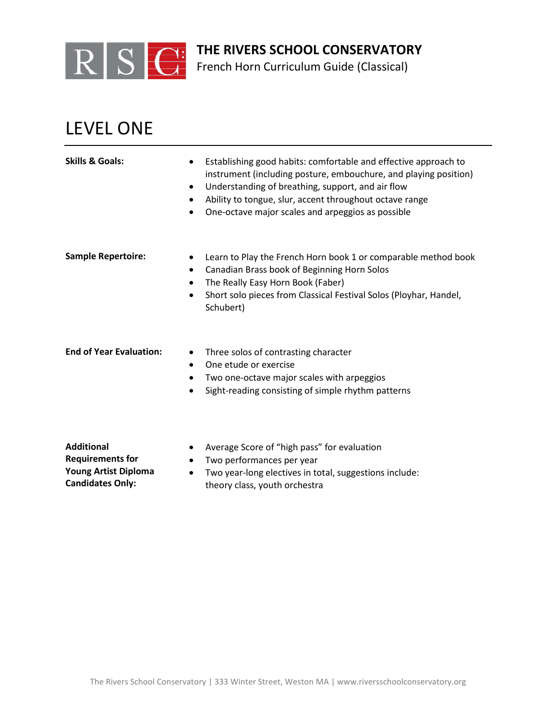

French Horn Curriculum Guide (Classical)

## LEVEL ONE

**Candidates Only:**

| <b>Skills &amp; Goals:</b>                                                  | Establishing good habits: comfortable and effective approach to<br>$\bullet$<br>instrument (including posture, embouchure, and playing position)<br>Understanding of breathing, support, and air flow<br>$\bullet$<br>Ability to tongue, slur, accent throughout octave range<br>One-octave major scales and arpeggios as possible<br>$\bullet$ |
|-----------------------------------------------------------------------------|-------------------------------------------------------------------------------------------------------------------------------------------------------------------------------------------------------------------------------------------------------------------------------------------------------------------------------------------------|
| <b>Sample Repertoire:</b>                                                   | Learn to Play the French Horn book 1 or comparable method book<br>Canadian Brass book of Beginning Horn Solos<br>$\bullet$<br>The Really Easy Horn Book (Faber)<br>Short solo pieces from Classical Festival Solos (Ployhar, Handel,<br>Schubert)                                                                                               |
| <b>End of Year Evaluation:</b>                                              | Three solos of contrasting character<br>$\bullet$<br>One etude or exercise<br>Two one-octave major scales with arpeggios<br>Sight-reading consisting of simple rhythm patterns                                                                                                                                                                  |
| <b>Additional</b><br><b>Requirements for</b><br><b>Young Artist Diploma</b> | Average Score of "high pass" for evaluation<br>Two performances per year<br>Two vear-long electives in total, suggestions include:                                                                                                                                                                                                              |

• Two year-long electives in total, suggestions include: theory class, youth orchestra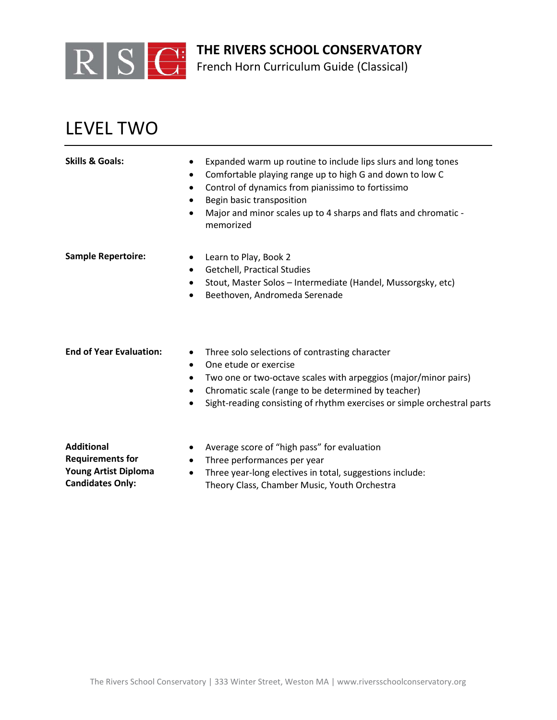

French Horn Curriculum Guide (Classical)

## LEVEL TWO

| <b>Skills &amp; Goals:</b>                   | Expanded warm up routine to include lips slurs and long tones<br>$\bullet$<br>Comfortable playing range up to high G and down to low C<br>$\bullet$<br>Control of dynamics from pianissimo to fortissimo<br>$\bullet$<br>Begin basic transposition<br>٠<br>Major and minor scales up to 4 sharps and flats and chromatic -<br>$\bullet$<br>memorized |
|----------------------------------------------|------------------------------------------------------------------------------------------------------------------------------------------------------------------------------------------------------------------------------------------------------------------------------------------------------------------------------------------------------|
| <b>Sample Repertoire:</b>                    | Learn to Play, Book 2<br>$\bullet$<br><b>Getchell, Practical Studies</b><br>$\bullet$<br>Stout, Master Solos - Intermediate (Handel, Mussorgsky, etc)<br>٠<br>Beethoven, Andromeda Serenade<br>$\bullet$                                                                                                                                             |
| <b>End of Year Evaluation:</b>               | Three solo selections of contrasting character<br>$\bullet$<br>One etude or exercise<br>$\bullet$<br>Two one or two-octave scales with arpeggios (major/minor pairs)<br>٠<br>Chromatic scale (range to be determined by teacher)<br>٠<br>Sight-reading consisting of rhythm exercises or simple orchestral parts<br>$\bullet$                        |
| <b>Additional</b><br><b>Requirements for</b> | Average score of "high pass" for evaluation<br>٠<br>Three performances per year<br>$\bullet$                                                                                                                                                                                                                                                         |

- **Young Artist Diploma Candidates Only:**
- Three year-long electives in total, suggestions include: Theory Class, Chamber Music, Youth Orchestra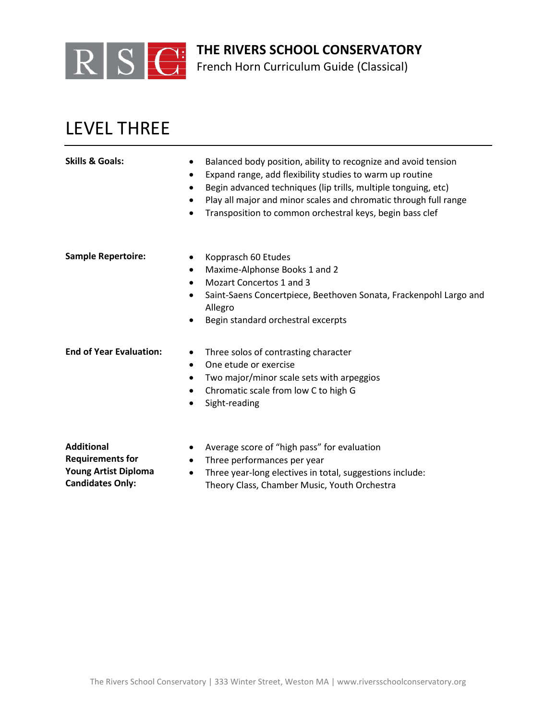

French Horn Curriculum Guide (Classical)

## LEVEL THREE

| <b>Skills &amp; Goals:</b>     | Balanced body position, ability to recognize and avoid tension<br>٠<br>Expand range, add flexibility studies to warm up routine<br>٠<br>Begin advanced techniques (lip trills, multiple tonguing, etc)<br>$\bullet$<br>Play all major and minor scales and chromatic through full range<br>$\bullet$<br>Transposition to common orchestral keys, begin bass clef<br>$\bullet$ |
|--------------------------------|-------------------------------------------------------------------------------------------------------------------------------------------------------------------------------------------------------------------------------------------------------------------------------------------------------------------------------------------------------------------------------|
| <b>Sample Repertoire:</b>      | Kopprasch 60 Etudes<br>٠<br>Maxime-Alphonse Books 1 and 2<br>$\bullet$                                                                                                                                                                                                                                                                                                        |
|                                | Mozart Concertos 1 and 3<br>$\bullet$                                                                                                                                                                                                                                                                                                                                         |
|                                | Saint-Saens Concertpiece, Beethoven Sonata, Frackenpohl Largo and<br>$\bullet$<br>Allegro                                                                                                                                                                                                                                                                                     |
|                                | Begin standard orchestral excerpts<br>٠                                                                                                                                                                                                                                                                                                                                       |
| <b>End of Year Evaluation:</b> | Three solos of contrasting character<br>$\bullet$                                                                                                                                                                                                                                                                                                                             |
|                                | One etude or exercise<br>$\bullet$                                                                                                                                                                                                                                                                                                                                            |
|                                | Two major/minor scale sets with arpeggios<br>$\bullet$                                                                                                                                                                                                                                                                                                                        |
|                                | Chromatic scale from low C to high G<br>$\bullet$                                                                                                                                                                                                                                                                                                                             |
|                                | Sight-reading<br>$\bullet$                                                                                                                                                                                                                                                                                                                                                    |
| <b>Additional</b>              | Average score of "high pass" for evaluation<br>٠                                                                                                                                                                                                                                                                                                                              |
| <b>Requirements for</b>        | Three performances per year<br>$\bullet$                                                                                                                                                                                                                                                                                                                                      |

- **Young Artist Diploma Candidates Only:**
- Three year-long electives in total, suggestions include: Theory Class, Chamber Music, Youth Orchestra